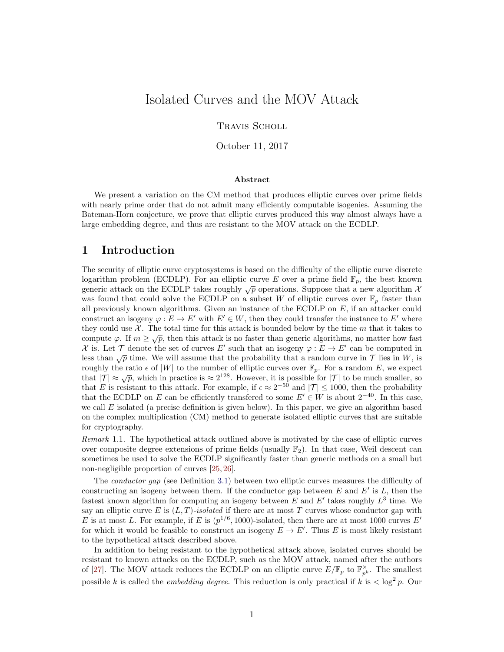# Isolated Curves and the MOV Attack

TRAVIS SCHOLL

October 11, 2017

#### Abstract

We present a variation on the CM method that produces elliptic curves over prime fields with nearly prime order that do not admit many efficiently computable isogenies. Assuming the Bateman-Horn conjecture, we prove that elliptic curves produced this way almost always have a large embedding degree, and thus are resistant to the MOV attack on the ECDLP.

### 1 Introduction

The security of elliptic curve cryptosystems is based on the difficulty of the elliptic curve discrete logarithm problem (ECDLP). For an elliptic curve E over a prime field  $\mathbb{F}_p$ , the best known generic attack on the ECDLP takes roughly  $\sqrt{p}$  operations. Suppose that a new algorithm  $\mathcal X$ was found that could solve the ECDLP on a subset W of elliptic curves over  $\mathbb{F}_p$  faster than all previously known algorithms. Given an instance of the ECDLP on  $E$ , if an attacker could construct an isogeny  $\varphi : E \to E'$  with  $E' \in W$ , then they could transfer the instance to E' where they could use  $\mathcal{X}$ . The total time for this attack is bounded below by the time m that it takes to compute  $\varphi$ . If  $m \ge \sqrt{p}$ , then this attack is no faster than generic algorithms, no matter how fast X is. Let T denote the set of curves E' such that an isogeny  $\varphi : E \to E'$  can be computed in less than  $\sqrt{p}$  time. We will assume that the probability that a random curve in  $\mathcal T$  lies in W, is roughly the ratio  $\epsilon$  of  $|W|$  to the number of elliptic curves over  $\mathbb{F}_p$ . For a random E, we expect that  $|\mathcal{T}| \approx \sqrt{p}$ , which in practice is  $\approx 2^{128}$ . However, it is possible for  $|\mathcal{T}|$  to be much smaller, so that E is resistant to this attack. For example, if  $\epsilon \approx 2^{-50}$  and  $|\mathcal{T}| \leq 1000$ , then the probability that the ECDLP on E can be efficiently transfered to some  $E' \in W$  is about  $2^{-40}$ . In this case, we call  $E$  isolated (a precise definition is given below). In this paper, we give an algorithm based on the complex multiplication (CM) method to generate isolated elliptic curves that are suitable for cryptography.

Remark 1.1. The hypothetical attack outlined above is motivated by the case of elliptic curves over composite degree extensions of prime fields (usually  $\mathbb{F}_2$ ). In that case, Weil descent can sometimes be used to solve the ECDLP significantly faster than generic methods on a small but non-negligible proportion of curves [\[25,](#page-17-0) [26\]](#page-17-1).

The *conductor gap* (see Definition [3.1\)](#page-4-0) between two elliptic curves measures the difficulty of constructing an isogeny between them. If the conductor gap between  $E$  and  $E'$  is  $L$ , then the fastest known algorithm for computing an isogeny between  $E$  and  $E'$  takes roughly  $L^3$  time. We say an elliptic curve E is  $(L, T)$ -isolated if there are at most T curves whose conductor gap with E is at most L. For example, if E is  $(p^{1/6}, 1000)$ -isolated, then there are at most 1000 curves E' for which it would be feasible to construct an isogeny  $E \to E'$ . Thus E is most likely resistant to the hypothetical attack described above.

In addition to being resistant to the hypothetical attack above, isolated curves should be resistant to known attacks on the ECDLP, such as the MOV attack, named after the authors of [\[27\]](#page-17-2). The MOV attack reduces the ECDLP on an elliptic curve  $E/\mathbb{F}_p$  to  $\mathbb{F}_{p^k}^{\times}$ . The smallest possible k is called the *embedding degree*. This reduction is only practical if k is  $\langle \log^2 p. \text{ Our} \rangle$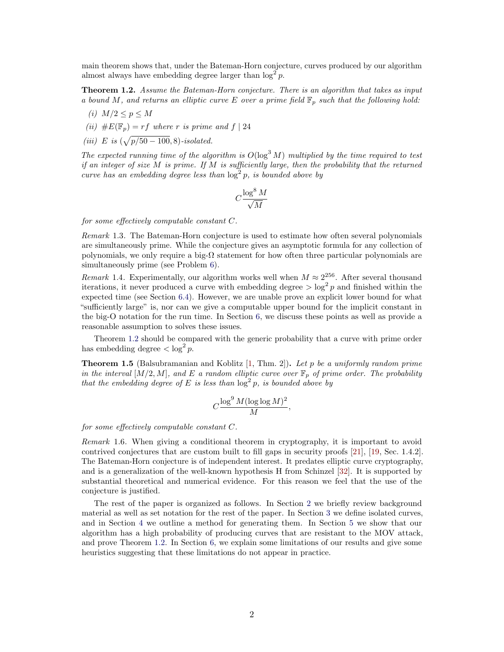main theorem shows that, under the Bateman-Horn conjecture, curves produced by our algorithm almost always have embedding degree larger than  $\log^2 p$ .

<span id="page-1-0"></span>Theorem 1.2. Assume the Bateman-Horn conjecture. There is an algorithm that takes as input a bound M, and returns an elliptic curve E over a prime field  $\mathbb{F}_p$  such that the following hold:

- (i)  $M/2 \leq p \leq M$
- (ii)  $\#E(\mathbb{F}_p) = rf$  where r is prime and  $f | 24$
- (*iii*) E is  $(\sqrt{p/50 100}, 8)$ -isolated.

The expected running time of the algorithm is  $O(\log^3 M)$  multiplied by the time required to test if an integer of size  $M$  is prime. If  $M$  is sufficiently large, then the probability that the returned curve has an embedding degree less than  $\log^2 p$ , is bounded above by

$$
C\frac{\log^8 M}{\sqrt{M}}
$$

for some effectively computable constant C.

Remark 1.3. The Bateman-Horn conjecture is used to estimate how often several polynomials are simultaneously prime. While the conjecture gives an asymptotic formula for any collection of polynomials, we only require a big- $\Omega$  statement for how often three particular polynomials are simultaneously prime (see Problem [6\)](#page-13-0).

*Remark* 1.4. Experimentally, our algorithm works well when  $M \approx 2^{256}$ . After several thousand iterations, it never produced a curve with embedding degree  $>\log^2 p$  and finished within the expected time (see Section [6.4\)](#page-15-0). However, we are unable prove an explicit lower bound for what "sufficiently large" is, nor can we give a computable upper bound for the implicit constant in the big-O notation for the run time. In Section [6,](#page-12-0) we discuss these points as well as provide a reasonable assumption to solves these issues.

Theorem [1.2](#page-1-0) should be compared with the generic probability that a curve with prime order has embedding degree  $\langle \log^2 p \rangle$ .

**Theorem 1.5** (Balsubramanian and Koblitz [\[1,](#page-15-1) Thm. 2]). Let p be a uniformly random prime in the interval  $[M/2, M]$ , and E a random elliptic curve over  $\mathbb{F}_p$  of prime order. The probability that the embedding degree of E is less than  $\log^2 p$ , is bounded above by

$$
C\frac{\log^9 M(\log\log M)^2}{M},
$$

for some effectively computable constant C.

Remark 1.6. When giving a conditional theorem in cryptography, it is important to avoid contrived conjectures that are custom built to fill gaps in security proofs [\[21\]](#page-17-3), [\[19,](#page-17-4) Sec. 1.4.2]. The Bateman-Horn conjecture is of independent interest. It predates elliptic curve cryptography, and is a generalization of the well-known hypothesis H from Schinzel [\[32\]](#page-17-5). It is supported by substantial theoretical and numerical evidence. For this reason we feel that the use of the conjecture is justified.

The rest of the paper is organized as follows. In Section [2](#page-2-0) we briefly review background material as well as set notation for the rest of the paper. In Section [3](#page-4-1) we define isolated curves, and in Section [4](#page-5-0) we outline a method for generating them. In Section [5](#page-6-0) we show that our algorithm has a high probability of producing curves that are resistant to the MOV attack, and prove Theorem [1.2.](#page-1-0) In Section [6,](#page-12-0) we explain some limitations of our results and give some heuristics suggesting that these limitations do not appear in practice.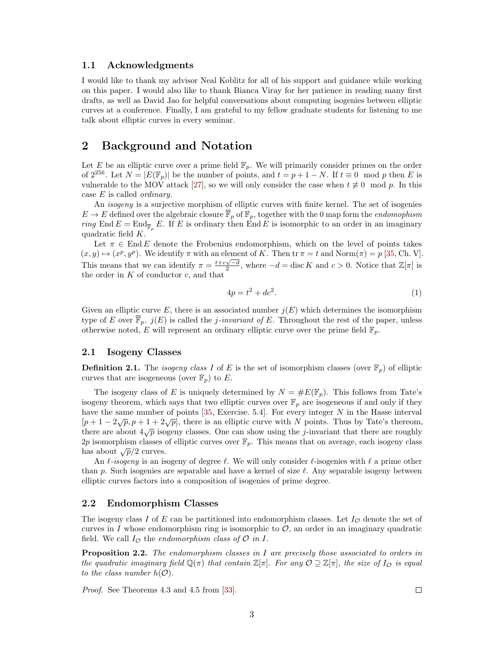### 1.1 Acknowledgments

I would like to thank my advisor Neal Koblitz for all of his support and guidance while working on this paper. I would also like to thank Bianca Viray for her patience in reading many first drafts, as well as David Jao for helpful conversations about computing isogenies between elliptic curves at a conference. Finally, I am grateful to my fellow graduate students for listening to me talk about elliptic curves in every seminar.

# <span id="page-2-0"></span>2 Background and Notation

Let E be an elliptic curve over a prime field  $\mathbb{F}_p$ . We will primarily consider primes on the order of  $2^{256}$ . Let  $N = |E(\mathbb{F}_p)|$  be the number of points, and  $t = p + 1 - N$ . If  $t \equiv 0 \mod p$  then E is vulnerable to the MOV attack [\[27\]](#page-17-2), so we will only consider the case when  $t \neq 0 \mod p$ . In this case  $E$  is called *ordinary*.

An isogeny is a surjective morphism of elliptic curves with finite kernel. The set of isogenies  $E \to E$  defined over the algebraic closure  $\overline{\mathbb{F}}_p$  of  $\mathbb{F}_p$ , together with the 0 map form the *endomophism* ring End  $E = \text{End}_{\overline{\mathbb{F}}_p} E$ . If E is ordinary then End E is isomorphic to an order in an imaginary quadratic field K.

Let  $\pi \in \text{End } E$  denote the Frobenius endomorphism, which on the level of points takes  $(x, y) \mapsto (x^p, y^p)$ . We identify  $\pi$  with an element of K. Then  $\text{tr } \pi = t$  and  $\text{Norm}(\pi) = p$  [\[35,](#page-17-6) Ch. V]. This means that we can identify  $\pi = \frac{t+c\sqrt{-d}}{2}$ , where  $-d = \text{disc } K$  and  $c > 0$ . Notice that  $\mathbb{Z}[\pi]$  is the order in  $K$  of conductor  $c$ , and that

<span id="page-2-1"></span>
$$
4p = t^2 + dc^2. \tag{1}
$$

Given an elliptic curve E, there is an associated number  $j(E)$  which determines the isomorphism type of E over  $\mathbb{F}_p$ .  $j(E)$  is called the *j*-invariant of E. Throughout the rest of the paper, unless otherwise noted, E will represent an ordinary elliptic curve over the prime field  $\mathbb{F}_p$ .

### 2.1 Isogeny Classes

**Definition 2.1.** The *isogeny class I* of E is the set of isomorphism classes (over  $\mathbb{F}_p$ ) of elliptic curves that are isogeneous (over  $\mathbb{F}_p$ ) to E.

The isogeny class of E is uniquely determined by  $N = \#E(\mathbb{F}_p)$ . This follows from Tate's isogeny theorem, which says that two elliptic curves over  $\mathbb{F}_p$  are isogeneous if and only if they have the same number of points  $[35, \text{ Exercise } 5.4]$  $[35, \text{ Exercise } 5.4]$ . For every integer N in the Hasse interval  $[p+1-2\sqrt{p}, p+1+2\sqrt{p}]$ , there is an elliptic curve with N points. Thus by Tate's thereom, there are about  $4\sqrt{p}$  isogeny classes. One can show using the j-invariant that there are roughly 2p isomorphism classes of elliptic curves over  $\mathbb{F}_p$ . This means that on average, each isogeny class has about  $\sqrt{p}/2$  curves.

An  $\ell$ -isogeny is an isogeny of degree  $\ell$ . We will only consider  $\ell$ -isogenies with  $\ell$  a prime other than p. Such isogenies are separable and have a kernel of size  $\ell$ . Any separable isogeny between elliptic curves factors into a composition of isogenies of prime degree.

### 2.2 Endomorphism Classes

The isogeny class I of E can be partitioned into endomorphism classes. Let  $I_{\mathcal{O}}$  denote the set of curves in I whose endomorphism ring is isomorphic to  $\mathcal{O}$ , an order in an imaginary quadratic field. We call  $I_{\mathcal{O}}$  the endomorphism class of  $\mathcal{O}$  in I.

**Proposition 2.2.** The endomorphism classes in I are precisely those associated to orders in the quadratic imaginary field  $\mathbb{Q}(\pi)$  that contain  $\mathbb{Z}[\pi]$ . For any  $\mathcal{O} \supseteq \mathbb{Z}[\pi]$ , the size of  $I_{\mathcal{O}}$  is equal to the class number  $h(\mathcal{O})$ .

Proof. See Theorems 4.3 and 4.5 from [\[33\]](#page-17-7).

 $\Box$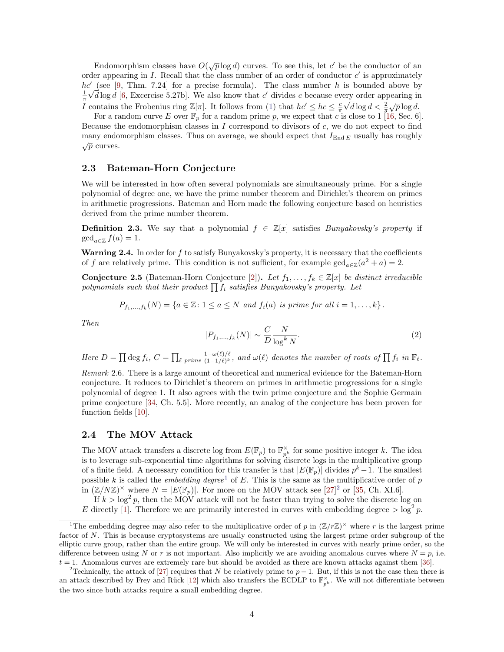Endomorphism classes have  $O(\sqrt{p}\log d)$  curves. To see this, let c' be the conductor of an order appearing in  $I$ . Recall that the class number of an order of conductor  $c'$  is approximately  $hc'$  (see [\[9,](#page-16-0) Thm. 7.24] for a precise formula). The class number h is bounded above by  $\frac{1}{\pi}\sqrt{d}\log d$  [\[6,](#page-16-1) Excercise 5.27b]. We also know that c' divides c because every order appearing in I contains the Frobenius ring  $\mathbb{Z}[\pi]$ . It follows from [\(1\)](#page-2-1) that  $hc' \leq hc \leq \frac{c}{\pi} \sqrt{d} \log d < \frac{2}{\pi} \sqrt{p} \log d$ .

For a random curve E over  $\mathbb{F}_p$  for a random prime p, we expect that c is close to 1 [\[16,](#page-17-8) Sec. 6]. Because the endomorphism classes in  $I$  correspond to divisors of  $c$ , we do not expect to find many endomorphism classes. Thus on average, we should expect that  $I_{\text{End }E}$  usually has roughly  $\sqrt{p}$  curves.

#### 2.3 Bateman-Horn Conjecture

We will be interested in how often several polynomials are simultaneously prime. For a single polynomial of degree one, we have the prime number theorem and Dirichlet's theorem on primes in arithmetic progressions. Bateman and Horn made the following conjecture based on heuristics derived from the prime number theorem.

**Definition 2.3.** We say that a polynomial  $f \in \mathbb{Z}[x]$  satisfies *Bunyakovsky's property* if  $\gcd_{a\in\mathbb{Z}} f(a) = 1.$ 

Warning 2.4. In order for  $f$  to satisfy Bunyakovsky's property, it is necessary that the coefficients of f are relatively prime. This condition is not sufficient, for example  $gcd_{a\in\mathbb{Z}}(a^2 + a) = 2$ .

Conjecture 2.5 (Bateman-Horn Conjecture [\[2\]](#page-16-2)). Let  $f_1, \ldots, f_k \in \mathbb{Z}[x]$  be distinct irreducible polynomials such that their product  $\prod f_i$  satisfies Bunyakovsky's property. Let

$$
P_{f_1,\ldots,f_k}(N) = \{a \in \mathbb{Z} \colon 1 \le a \le N \text{ and } f_i(a) \text{ is prime for all } i = 1,\ldots,k\}.
$$

Then

$$
|P_{f_1,\ldots,f_k}(N)| \sim \frac{C}{D} \frac{N}{\log^k N}.\tag{2}
$$

Here  $D = \prod \deg f_i$ ,  $C = \prod_{\ell \ prime} \frac{1 - \omega(\ell)/\ell}{(1 - 1/\ell)^k}$  $\frac{1-\omega(\ell)/\ell}{(1-1/\ell)^k}$ , and  $\omega(\ell)$  denotes the number of roots of  $\prod f_i$  in  $\mathbb{F}_{\ell}$ .

Remark 2.6. There is a large amount of theoretical and numerical evidence for the Bateman-Horn conjecture. It reduces to Dirichlet's theorem on primes in arithmetic progressions for a single polynomial of degree 1. It also agrees with the twin prime conjecture and the Sophie Germain prime conjecture [\[34,](#page-17-9) Ch. 5.5]. More recently, an analog of the conjecture has been proven for function fields [\[10\]](#page-16-3).

### 2.4 The MOV Attack

The MOV attack transfers a discrete log from  $E(\mathbb{F}_p)$  to  $\mathbb{F}_{p^k}^{\times}$  for some positive integer k. The idea is to leverage sub-exponential time algorithms for solving discrete logs in the multiplicative group of a finite field. A necessary condition for this transfer is that  $|E(\mathbb{F}_p)|$  divides  $p^k - 1$ . The smallest possible k is called the *embedding degree*<sup>[1](#page-3-0)</sup> of E. This is the same as the multiplicative order of p in  $(\mathbb{Z}/N\mathbb{Z})^{\times}$  where  $N = |E(\mathbb{F}_p)|$ . For more on the MOV attack see [\[27\]](#page-17-2)<sup>[2](#page-3-1)</sup> or [\[35,](#page-17-6) Ch. XI.6].

If  $k > \log^2 p$ , then the MOV attack will not be faster than trying to solve the discrete log on

E directly [\[1\]](#page-15-1). Therefore we are primarily interested in curves with embedding degree  $>\log^2 p$ .

<span id="page-3-0"></span><sup>&</sup>lt;sup>1</sup>The embedding degree may also refer to the multiplicative order of p in  $(\mathbb{Z}/r\mathbb{Z})^{\times}$  where r is the largest prime factor of N. This is because cryptosystems are usually constructed using the largest prime order subgroup of the elliptic curve group, rather than the entire group. We will only be interested in curves with nearly prime order, so the difference between using N or r is not important. Also implicitly we are avoiding anomalous curves where  $N = p$ , i.e.  $t = 1$ . Anomalous curves are extremely rare but should be avoided as there are known attacks against them [\[36\]](#page-17-10).

<span id="page-3-1"></span><sup>&</sup>lt;sup>2</sup>Technically, the attack of [\[27\]](#page-17-2) requires that N be relatively prime to  $p-1$ . But, if this is not the case then there is an attack described by Frey and Rück [\[12\]](#page-16-4) which also transfers the ECDLP to  $\mathbb{F}_{p^k}^{\times}$ . We will not differentiate between the two since both attacks require a small embedding degree.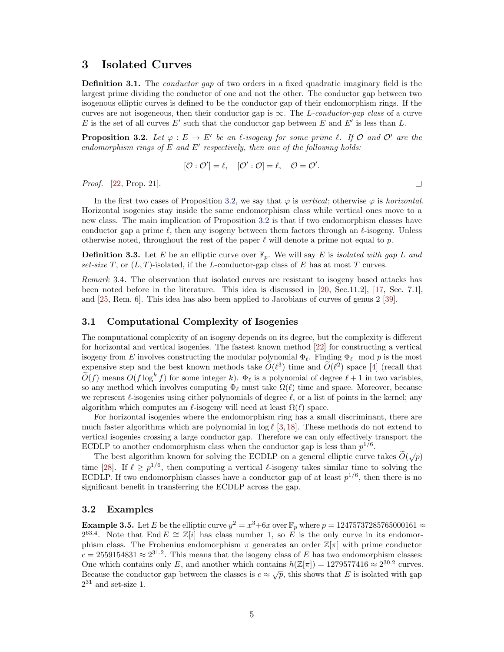# <span id="page-4-1"></span>3 Isolated Curves

<span id="page-4-0"></span>**Definition 3.1.** The *conductor gap* of two orders in a fixed quadratic imaginary field is the largest prime dividing the conductor of one and not the other. The conductor gap between two isogenous elliptic curves is defined to be the conductor gap of their endomorphism rings. If the curves are not isogeneous, then their conductor gap is  $\infty$ . The L-conductor-gap class of a curve E is the set of all curves  $E'$  such that the conductor gap between E and E' is less than L.

<span id="page-4-2"></span>**Proposition 3.2.** Let  $\varphi : E \to E'$  be an l-isogeny for some prime l. If  $\mathcal{O}$  and  $\mathcal{O}'$  are the endomorphism rings of  $E$  and  $E'$  respectively, then one of the following holds:

$$
[\mathcal{O}:\mathcal{O}']=\ell,\quad [\mathcal{O}':\mathcal{O}]=\ell,\quad \mathcal{O}=\mathcal{O}'.
$$

 $\Box$ 

Proof. [\[22,](#page-17-11) Prop. 21].

In the first two cases of Proposition [3.2,](#page-4-2) we say that  $\varphi$  is vertical; otherwise  $\varphi$  is horizontal. Horizontal isogenies stay inside the same endomorphism class while vertical ones move to a new class. The main implication of Proposition [3.2](#page-4-2) is that if two endomorphism classes have conductor gap a prime  $\ell$ , then any isogeny between them factors through an  $\ell$ -isogeny. Unless otherwise noted, throughout the rest of the paper  $\ell$  will denote a prime not equal to p.

**Definition 3.3.** Let E be an elliptic curve over  $\mathbb{F}_p$ . We will say E is *isolated with gap L and* set-size T, or  $(L, T)$ -isolated, if the L-conductor-gap class of E has at most T curves.

Remark 3.4. The observation that isolated curves are resistant to isogeny based attacks has been noted before in the literature. This idea is discussed in [\[20,](#page-17-12) Sec.11.2], [\[17,](#page-17-13) Sec. 7.1], and [\[25,](#page-17-0) Rem. 6]. This idea has also been applied to Jacobians of curves of genus 2 [\[39\]](#page-18-0).

### 3.1 Computational Complexity of Isogenies

The computational complexity of an isogeny depends on its degree, but the complexity is different for horizontal and vertical isogenies. The fastest known method [\[22\]](#page-17-11) for constructing a vertical isogeny from E involves constructing the modular polynomial  $\Phi_\ell$ . Finding  $\Phi_\ell$  mod p is the most expensive step and the best known methods take  $\tilde{O}(\ell^3)$  time and  $\tilde{O}(\ell^2)$  space [\[4\]](#page-16-5) (recall that  $\widetilde{O}(f)$  means  $O(f \log^k f)$  for some integer k).  $\Phi_\ell$  is a polynomial of degree  $\ell + 1$  in two variables, so any method which involves computing  $\Phi_\ell$  must take  $\Omega(\ell)$  time and space. Moreover, because we represent  $\ell$ -isogenies using either polynomials of degree  $\ell$ , or a list of points in the kernel; any algorithm which computes an  $\ell$ -isogeny will need at least  $\Omega(\ell)$  space.

For horizontal isogenies where the endomorphism ring has a small discriminant, there are much faster algorithms which are polynomial in  $\log \ell$  [\[3,](#page-16-6)[18\]](#page-17-14). These methods do not extend to vertical isogenies crossing a large conductor gap. Therefore we can only effectively transport the ECDLP to another endomorphism class when the conductor gap is less than  $p^{1/6}$ .

The best algorithm known for solving the ECDLP on a general elliptic curve takes  $\tilde{O}(\sqrt{p})$ time [\[28\]](#page-17-15). If  $\ell \geq p^{1/6}$ , then computing a vertical  $\ell$ -isogeny takes similar time to solving the ECDLP. If two endomorphism classes have a conductor gap of at least  $p^{1/6}$ , then there is no significant benefit in transferring the ECDLP across the gap.

### 3.2 Examples

**Example 3.5.** Let E be the elliptic curve  $y^2 = x^3 + 6x$  over  $\mathbb{F}_p$  where  $p = 12475737285765000161 \approx$ 2<sup>63.4</sup>. Note that End  $E \cong \mathbb{Z}[i]$  has class number 1, so E is the only curve in its endomorphism class. The Frobenius endomorphism  $\pi$  generates an order  $\mathbb{Z}[\pi]$  with prime conductor  $c = 2559154831 \approx 2^{31.2}$ . This means that the isogeny class of E has two endomorphism classes: One which contains only E, and another which contains  $h(\mathbb{Z}[\pi]) = 1279577416 \approx 2^{30.2}$  curves. Because the conductor gap between the classes is  $c \approx \sqrt{p}$ , this shows that E is isolated with gap  $2^{31}$  and set-size 1.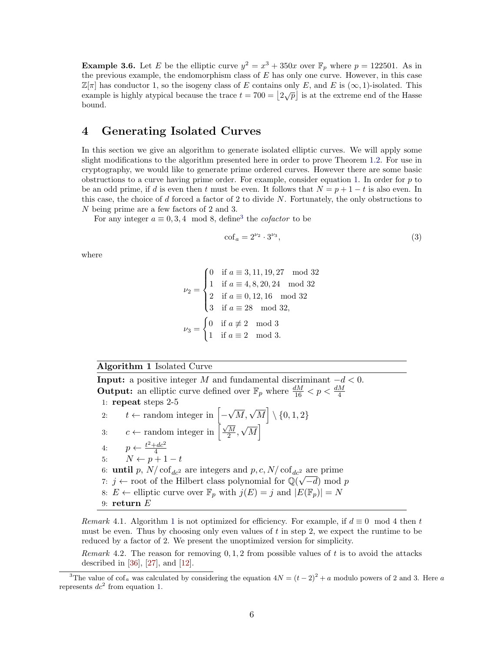<span id="page-5-3"></span>**Example 3.6.** Let E be the elliptic curve  $y^2 = x^3 + 350x$  over  $\mathbb{F}_p$  where  $p = 122501$ . As in the previous example, the endomorphism class of  $E$  has only one curve. However, in this case  $\mathbb{Z}[\pi]$  has conductor 1, so the isogeny class of E contains only E, and E is  $(\infty, 1)$ -isolated. This  $\mathbb{E}[\alpha]$  has conducted 1, so the isogeny class of E contains only E, and E is  $(\infty, 1)$ -isolated. This example is highly atypical because the trace  $t = 700 = |2\sqrt{p}|$  is at the extreme end of the Hasse bound.

# <span id="page-5-0"></span>4 Generating Isolated Curves

In this section we give an algorithm to generate isolated elliptic curves. We will apply some slight modifications to the algorithm presented here in order to prove Theorem [1.2.](#page-1-0) For use in cryptography, we would like to generate prime ordered curves. However there are some basic obstructions to a curve having prime order. For example, consider equation [1.](#page-2-1) In order for  $p$  to be an odd prime, if d is even then t must be even. It follows that  $N = p + 1 - t$  is also even. In this case, the choice of  $d$  forced a factor of 2 to divide  $N$ . Fortunately, the only obstructions to N being prime are a few factors of 2 and 3.

For any integer  $a \equiv 0, 3, 4 \mod 8$  $a \equiv 0, 3, 4 \mod 8$  $a \equiv 0, 3, 4 \mod 8$ , define<sup>3</sup> the *cofactor* to be

<span id="page-5-4"></span>
$$
\operatorname{cof}_a = 2^{\nu_2} \cdot 3^{\nu_3},\tag{3}
$$

where

$$
\nu_2 = \begin{cases}\n0 & \text{if } a \equiv 3, 11, 19, 27 \mod 32 \\
1 & \text{if } a \equiv 4, 8, 20, 24 \mod 32 \\
2 & \text{if } a \equiv 0, 12, 16 \mod 32 \\
3 & \text{if } a \equiv 28 \mod 32, \\
\nu_3 = \begin{cases}\n0 & \text{if } a \not\equiv 2 \mod 3 \\
1 & \text{if } a \equiv 2 \mod 3.\n\end{cases}\n\end{cases}
$$

### <span id="page-5-2"></span>Algorithm 1 Isolated Curve

**Input:** a positive integer M and fundamental discriminant  $-d < 0$ . **Output:** an elliptic curve defined over  $\mathbb{F}_p$  where  $\frac{dM}{16} < p < \frac{dM}{4}$ 1: repeat steps 2-5 2:  $t \leftarrow$  random integer in  $\boxed{\phantom{.}}$  $\sqrt{M}, \sqrt{M}$  \ {0, 1, 2} 3:  $c \leftarrow$  random integer in  $\frac{1}{2} \sqrt{\frac{M}{2}}$  $\frac{M}{2}$ , √  $\overline{M}$ 4:  $p \leftarrow \frac{t^2 + dc^2}{4}$ 4.  $p \leftarrow \frac{4}{4}$ <br>5:  $N \leftarrow p+1-t$ 6: **until** p,  $N/\text{cof}_{dc^2}$  are integers and p, c,  $N/\text{cof}_{dc^2}$  are prime 7: j ← root of the Hilbert class polynomial for  $\mathbb{Q}(\sqrt{-d})$  mod p 8:  $E \leftarrow$  elliptic curve over  $\mathbb{F}_p$  with  $j(E) = j$  and  $|E(\mathbb{F}_p)| = N$ 9: return  $E$ 

Remark 4.[1](#page-5-2). Algorithm 1 is not optimized for efficiency. For example, if  $d \equiv 0 \mod 4$  then t must be even. Thus by choosing only even values of t in step 2, we expect the runtime to be reduced by a factor of 2. We present the unoptimized version for simplicity.

Remark 4.2. The reason for removing  $0, 1, 2$  from possible values of t is to avoid the attacks described in [\[36\]](#page-17-10), [\[27\]](#page-17-2), and [\[12\]](#page-16-4).

<span id="page-5-1"></span><sup>&</sup>lt;sup>3</sup>The value of cof<sub>a</sub> was calculated by considering the equation  $4N = (t-2)^2 + a$  modulo powers of 2 and 3. Here a represents  $dc^2$  from equation [1.](#page-2-1)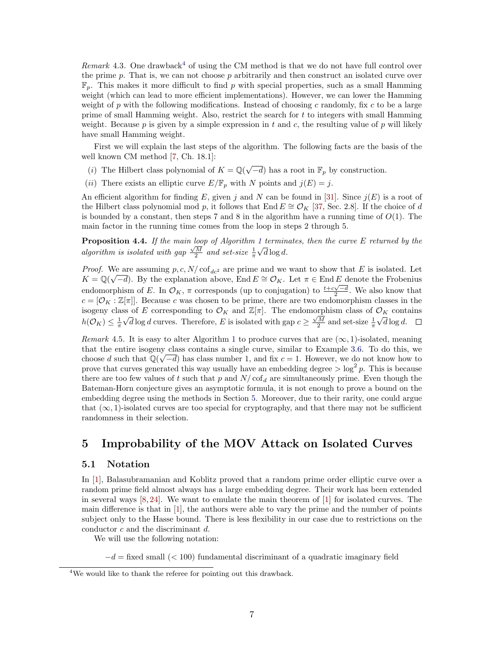*Remark* [4](#page-6-1).3. One drawback<sup>4</sup> of using the CM method is that we do not have full control over the prime p. That is, we can not choose p arbitrarily and then construct an isolated curve over  $\mathbb{F}_p$ . This makes it more difficult to find p with special properties, such as a small Hamming weight (which can lead to more efficient implementations). However, we can lower the Hamming weight of p with the following modifications. Instead of choosing c randomly, fix c to be a large prime of small Hamming weight. Also, restrict the search for t to integers with small Hamming weight. Because  $p$  is given by a simple expression in  $t$  and  $c$ , the resulting value of  $p$  will likely have small Hamming weight.

First we will explain the last steps of the algorithm. The following facts are the basis of the well known CM method [\[7,](#page-16-7) Ch. 18.1]:

- (i) The Hilbert class polynomial of  $K = \mathbb{Q}(\sqrt{-d})$  has a root in  $\mathbb{F}_p$  by construction.
- (ii) There exists an elliptic curve  $E/\mathbb{F}_p$  with N points and  $j(E) = j$ .

An efficient algorithm for finding E, given j and N can be found in [\[31\]](#page-17-16). Since  $j(E)$  is a root of the Hilbert class polynomial mod p, it follows that End  $E \cong \mathcal{O}_K$  [\[37,](#page-18-1) Sec. 2.8]. If the choice of d is bounded by a constant, then steps 7 and 8 in the algorithm have a running time of  $O(1)$ . The main factor in the running time comes from the loop in steps 2 through 5.

**Proposition 4.4.** If the main loop of Algorithm [1](#page-5-2) terminates, then the curve E returned by the algorithm is isolated with gap  $\frac{\sqrt{M}}{2}$  and set-size  $\frac{1}{\pi}$  $^{\perp}$  $d \log d$ .

*Proof.* We are assuming  $p, c, N/\text{cof}_{dc^2}$  are prime and we want to show that E is isolated. Let  $K = \mathbb{Q}(\sqrt{-d})$ . By the explanation above, End  $E \cong \mathcal{O}_K$ . Let  $\pi \in \text{End } E$  denote the Frobenius endomorphism of E. In  $\mathcal{O}_K$ ,  $\pi$  corresponds (up to conjugation) to  $\frac{t+c\sqrt{-d}}{2}$ . We also know that  $c = [\mathcal{O}_K : \mathbb{Z}[\pi]]$ . Because c was chosen to be prime, there are two endomorphism classes in the isogeny class of E corresponding to  $\mathcal{O}_K$  and  $\mathbb{Z}[\pi]$ . The endomorphism class of  $\mathcal{O}_K$  contains  $h(\mathcal{O}_K) \leq \frac{1}{\pi}$ √  $\overline{d} \log d$  curves. Therefore, E is isolated with gap  $c \geq \frac{\sqrt{M}}{2}$  and set-size  $\frac{1}{\pi}$ √  $d \log d$ .

Remark 4.5. It is easy to alter Algorithm [1](#page-5-2) to produce curves that are  $(\infty, 1)$ -isolated, meaning that the entire isogeny class contains a single curve, similar to Example [3.6.](#page-5-3) To do this, we choose d such that  $\mathbb{Q}(\sqrt{-d})$  has class number 1, and fix  $c = 1$ . However, we do not know how to prove that curves generated this way usually have an embedding degree  $>\log^2 p$ . This is because there are too few values of t such that p and  $N/\text{cof}_d$  are simultaneously prime. Even though the Bateman-Horn conjecture gives an asymptotic formula, it is not enough to prove a bound on the embedding degree using the methods in Section [5.](#page-6-0) Moreover, due to their rarity, one could argue that  $(\infty, 1)$ -isolated curves are too special for cryptography, and that there may not be sufficient randomness in their selection.

# <span id="page-6-0"></span>5 Improbability of the MOV Attack on Isolated Curves

#### 5.1 Notation

In [\[1\]](#page-15-1), Balasubramanian and Koblitz proved that a random prime order elliptic curve over a random prime field almost always has a large embedding degree. Their work has been extended in several ways  $[8, 24]$  $[8, 24]$  $[8, 24]$ . We want to emulate the main theorem of  $[1]$  for isolated curves. The main difference is that in [\[1\]](#page-15-1), the authors were able to vary the prime and the number of points subject only to the Hasse bound. There is less flexibility in our case due to restrictions on the conductor c and the discriminant d.

We will use the following notation:

 $-d =$  fixed small (< 100) fundamental discriminant of a quadratic imaginary field

<span id="page-6-1"></span><sup>&</sup>lt;sup>4</sup>We would like to thank the referee for pointing out this drawback.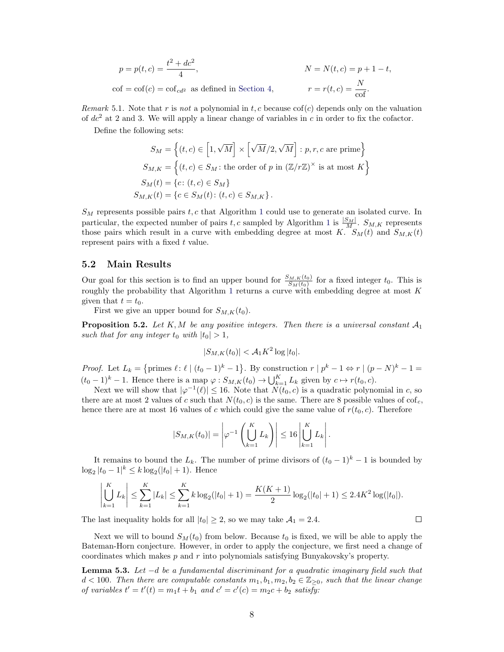$$
p = p(t, c) = \frac{t^2 + dc^2}{4},
$$
  
\n
$$
N = N(t, c) = p + 1 - t,
$$
  
\n
$$
\text{cof} = \text{cof}(c) = \text{cof}_{cd^2} \text{ as defined in Section 4},
$$
  
\n
$$
r = r(t, c) = \frac{N}{\text{cof}}.
$$

Remark 5.1. Note that r is not a polynomial in t, c because  $\operatorname{cof}(c)$  depends only on the valuation of  $dc<sup>2</sup>$  at 2 and 3. We will apply a linear change of variables in c in order to fix the cofactor.

Define the following sets:

$$
S_M = \left\{ (t, c) \in [1, \sqrt{M}] \times \left[ \sqrt{M}/2, \sqrt{M} \right] : p, r, c \text{ are prime} \right\}
$$
  
\n
$$
S_{M,K} = \left\{ (t, c) \in S_M : \text{the order of } p \text{ in } \left( \mathbb{Z}/r\mathbb{Z} \right)^\times \text{ is at most } K \right\}
$$
  
\n
$$
S_M(t) = \left\{ c : (t, c) \in S_M \right\}
$$
  
\n
$$
S_{M,K}(t) = \left\{ c \in S_M(t) : (t, c) \in S_{M,K} \right\}.
$$

 $S_M$  represents possible pairs  $t, c$  that Algorithm [1](#page-5-2) could use to generate an isolated curve. In particular, the expected number of pairs t, c sampled by Algorithm [1](#page-5-2) is  $\frac{|S_M|}{M}$ .  $S_{M,K}$  represents those pairs which result in a curve with embedding degree at most K.  $S_M(t)$  and  $S_{M,K}(t)$ represent pairs with a fixed t value.

### 5.2 Main Results

Our goal for this section is to find an upper bound for  $\frac{S_{M,K}(t_0)}{S_M(t_0)}$  for a fixed integer  $t_0$ . This is roughly the probability that Algorithm [1](#page-5-2) returns a curve with embedding degree at most  $K$ given that  $t = t_0$ .

First we give an upper bound for  $S_{M,K}(t_0)$ .

<span id="page-7-1"></span>**Proposition 5.2.** Let K, M be any positive integers. Then there is a universal constant  $A_1$ such that for any integer  $t_0$  with  $|t_0| > 1$ ,

$$
|S_{M,K}(t_0)| < \mathcal{A}_1 K^2 \log |t_0|.
$$

*Proof.* Let  $L_k = \{\text{primes } \ell : \ell \mid (t_0 - 1)^k - 1\}$ . By construction  $r \mid p^k - 1 \Leftrightarrow r \mid (p - N)^k - 1 =$  $(t_0 - 1)^k - 1$ . Hence there is a map  $\varphi : S_{M,K}(t_0) \to \bigcup_{k=1}^K L_k$  given by  $c \mapsto r(t_0, c)$ .

Next we will show that  $|\varphi^{-1}(\ell)| \leq 16$ . Note that  $\tilde{N}(t_0, c)$  is a quadratic polynomial in c, so there are at most 2 values of c such that  $N(t_0, c)$  is the same. There are 8 possible values of cof<sub>c</sub>, hence there are at most 16 values of c which could give the same value of  $r(t_0, c)$ . Therefore

$$
|S_{M,K}(t_0)| = \left|\varphi^{-1}\left(\bigcup_{k=1}^K L_k\right)\right| \leq 16 \left|\bigcup_{k=1}^K L_k\right|.
$$

It remains to bound the  $L_k$ . The number of prime divisors of  $(t_0 - 1)^k - 1$  is bounded by  $\log_2 |t_0 - 1|^k \le k \log_2(|t_0| + 1)$ . Hence

$$
\left|\bigcup_{k=1}^K L_k\right| \leq \sum_{k=1}^K |L_k| \leq \sum_{k=1}^K k \log_2(|t_0|+1) = \frac{K(K+1)}{2} \log_2(|t_0|+1) \leq 2.4K^2 \log(|t_0|).
$$

 $\Box$ 

The last inequality holds for all  $|t_0| \geq 2$ , so we may take  $\mathcal{A}_1 = 2.4$ .

Next we will to bound  $S_M(t_0)$  from below. Because  $t_0$  is fixed, we will be able to apply the Bateman-Horn conjecture. However, in order to apply the conjecture, we first need a change of coordinates which makes p and r into polynomials satisfying Bunyakovsky's property.

<span id="page-7-0"></span>**Lemma 5.3.** Let  $-d$  be a fundamental discriminant for a quadratic imaginary field such that  $d < 100$ . Then there are computable constants  $m_1, b_1, m_2, b_2 \in \mathbb{Z}_{\geq 0}$ , such that the linear change of variables  $t' = t'(t) = m_1t + b_1$  and  $c' = c'(c) = m_2c + b_2$  satisfy: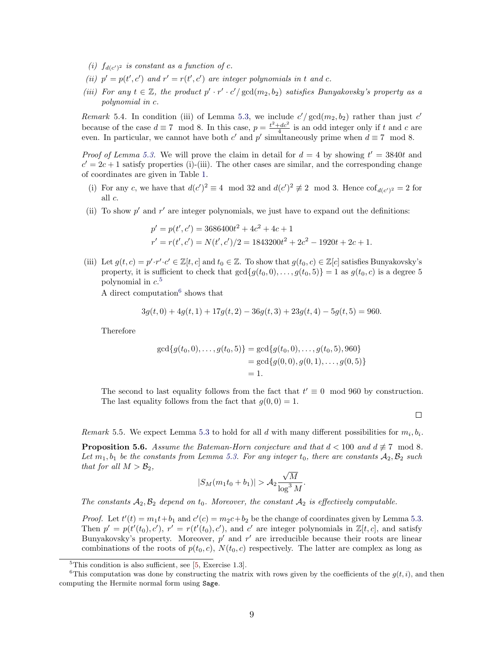- (i)  $f_{d(c')^2}$  is constant as a function of c.
- (ii)  $p' = p(t', c')$  and  $r' = r(t', c')$  are integer polynomials in t and c.
- (iii) For any  $t \in \mathbb{Z}$ , the product  $p' \cdot r' \cdot c'/\gcd(m_2, b_2)$  satisfies Bunyakovsky's property as a polynomial in c.

Remark 5.4. In condition (iii) of Lemma [5.3,](#page-7-0) we include  $c'/\gcd(m_2, b_2)$  rather than just  $c'$ because of the case  $d \equiv 7 \mod 8$ . In this case,  $p = \frac{t^2 + dc^2}{4}$  is an odd integer only if t and c are even. In particular, we cannot have both c' and p' simultaneously prime when  $d \equiv 7 \mod 8$ .

*Proof of Lemma [5.3.](#page-7-0)* We will prove the claim in detail for  $d = 4$  by showing  $t' = 3840t$  and  $c' = 2c + 1$  satisfy properties (i)-(iii). The other cases are similar, and the corresponding change of coordinates are given in Table [1.](#page-9-0)

- (i) For any c, we have that  $d(c')^2 \equiv 4 \mod 32$  and  $d(c')^2 \not\equiv 2 \mod 3$ . Hence  $\cot_{d(c')^2} = 2$  for all c.
- (ii) To show  $p'$  and  $r'$  are integer polynomials, we just have to expand out the definitions:

$$
p' = p(t', c') = 3686400t^2 + 4c^2 + 4c + 1
$$
  

$$
r' = r(t', c') = N(t', c')/2 = 1843200t^2 + 2c^2 - 1920t + 2c + 1.
$$

(iii) Let  $g(t, c) = p' \cdot r' \cdot c' \in \mathbb{Z}[t, c]$  and  $t_0 \in \mathbb{Z}$ . To show that  $g(t_0, c) \in \mathbb{Z}[c]$  satisfies Bunyakovsky's property, it is sufficient to check that  $gcd{g(t_0, 0), \ldots, g(t_0, 5)} = 1$  as  $g(t_0, c)$  is a degree 5 polynomial in  $c$ <sup>[5](#page-8-0)</sup>

A direct computation<sup>[6](#page-8-1)</sup> shows that

$$
3g(t,0) + 4g(t,1) + 17g(t,2) - 36g(t,3) + 23g(t,4) - 5g(t,5) = 960.
$$

Therefore

$$
gcd{g(t_0, 0), \ldots, g(t_0, 5)} = gcd{g(t_0, 0), \ldots, g(t_0, 5), 960}
$$
  
= 
$$
gcd{g(0, 0), g(0, 1), \ldots, g(0, 5)}
$$
  
= 1.

The second to last equality follows from the fact that  $t' \equiv 0 \mod 960$  by construction. The last equality follows from the fact that  $g(0, 0) = 1$ .

 $\Box$ 

Remark 5.5. We expect Lemma [5.3](#page-7-0) to hold for all d with many different possibilities for  $m_i, b_i$ .

<span id="page-8-2"></span>**Proposition 5.6.** Assume the Bateman-Horn conjecture and that  $d < 100$  and  $d \not\equiv 7 \mod 8$ . Let  $m_1, b_1$  be the constants from Lemma [5.3.](#page-7-0) For any integer  $t_0$ , there are constants  $A_2, B_2$  such that for all  $M > B_2$ , √

$$
|S_M(m_1t_0+b_1)| > \mathcal{A}_2 \frac{\sqrt{M}}{\log^3 M}.
$$

The constants  $A_2, B_2$  depend on  $t_0$ . Moreover, the constant  $A_2$  is effectively computable.

*Proof.* Let  $t'(t) = m_1 t + b_1$  and  $c'(c) = m_2 c + b_2$  be the change of coordinates given by Lemma [5.3.](#page-7-0) Then  $p' = p(t'(t_0), c')$ ,  $r' = r(t'(t_0), c')$ , and c' are integer polynomials in  $\mathbb{Z}[t, c]$ , and satisfy Bunyakovsky's property. Moreover,  $p'$  and  $r'$  are irreducible because their roots are linear combinations of the roots of  $p(t_0, c)$ ,  $N(t_0, c)$  respectively. The latter are complex as long as

<span id="page-8-1"></span><span id="page-8-0"></span> ${}^{5}$ This condition is also sufficient, see [\[5,](#page-16-9) Exercise 1.3].

<sup>&</sup>lt;sup>6</sup>This computation was done by constructing the matrix with rows given by the coefficients of the  $g(t, i)$ , and then computing the Hermite normal form using Sage.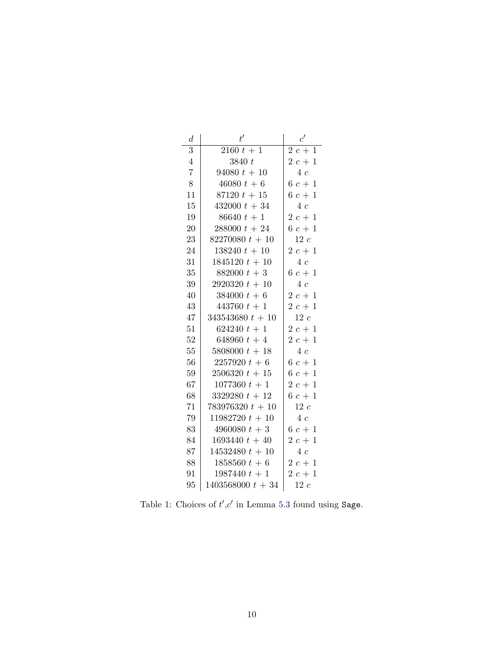<span id="page-9-0"></span>

| $\overline{d}$ | t'                  | c'          |
|----------------|---------------------|-------------|
| 3              | $2160 t + 1$        | $2c +$<br>1 |
| $\overline{4}$ | 3840 t              | $2c+1$      |
| $\overline{7}$ | $94080 t + 10$      | 4c          |
| 8              | $46080 t + 6$       | $6\ c+1$    |
| 11             | $87120 t + 15$      | $6c+1$      |
| 15             | $432000 t + 34$     | 4c          |
| 19             | $86640 t + 1$       | $2c+1$      |
| 20             | $288000 t + 24$     | $6\ c+1$    |
| 23             | $82270080 t + 10$   | 12c         |
| 24             | $138240 t + 10$     | $2c+1$      |
| 31             | $1845120 t + 10$    | 4c          |
| 35             | $882000 t + 3$      | $6\ c+1$    |
| 39             | $2920320 t + 10$    | 4c          |
| 40             | $384000 t + 6$      | $2c+1$      |
| 43             | $443760 t + 1$      | $2c+1$      |
| 47             | $343543680 t + 10$  | $12\ c$     |
| 51             | $624240 t + 1$      | $2c+1$      |
| 52             | 648960 $t + 4$      | $2c+1$      |
| 55             | $5808000 t + 18$    | 4c          |
| 56             | $2257920 t + 6$     | $6\ c+1$    |
| 59             | $2506320 t + 15$    | $6\ c+1$    |
| 67             | $1077360 t + 1$     | $2c+1$      |
| 68             | $3329280 t + 12$    | $6\ c+1$    |
| 71             | $783976320 t + 10$  | $12\ c$     |
| 79             | $11982720 t + 10$   | 4c          |
| 83             | $4960080 t + 3$     | $6\ c+1$    |
| 84             | $1693440 t + 40$    | $2c+1$      |
| 87             | $14532480 t + 10$   | 4c          |
| 88             | $1858560 t + 6$     | $2c+1$      |
| 91             | $1987440 t + 1$     | $2c+1$      |
| 95             | $1403568000 t + 34$ | 12c         |

Table 1: Choices of  $t', c'$  in Lemma [5.3](#page-7-0) found using Sage.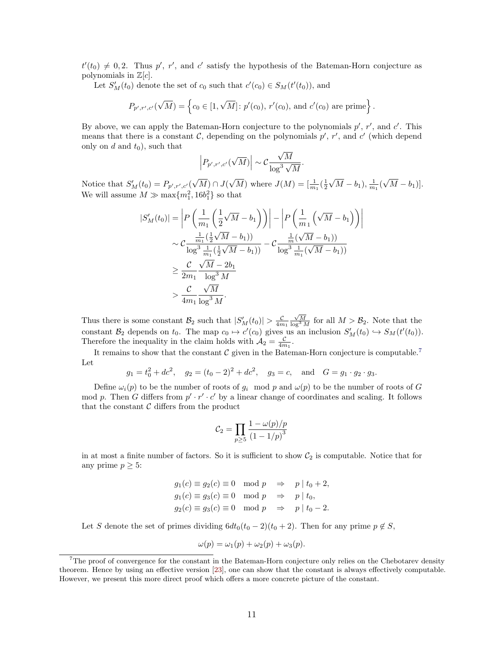$t'(t_0) \neq 0, 2$ . Thus p', r', and c' satisfy the hypothesis of the Bateman-Horn conjecture as polynomials in  $\mathbb{Z}[c]$ .

Let  $S'_M(t_0)$  denote the set of  $c_0$  such that  $c'(c_0) \in S_M(t'(t_0))$ , and

$$
P_{p',r',c'}(\sqrt{M}) = \left\{c_0 \in [1, \sqrt{M}] : p'(c_0), r'(c_0), \text{ and } c'(c_0) \text{ are prime}\right\}.
$$

By above, we can apply the Bateman-Horn conjecture to the polynomials  $p'$ ,  $r'$ , and  $c'$ . This means that there is a constant  $\mathcal{C}$ , depending on the polynomials  $p'$ ,  $r'$ , and  $c'$  (which depend only on  $d$  and  $t_0$ ), such that √

$$
\Big| P_{p',r',c'}(\sqrt{M}) \Big| \sim \mathcal{C} \frac{\sqrt{M}}{\log^3 \sqrt{M}}.
$$

Notice that  $S'_{M}(t_0) = P_{p',r',c'}(t)$ √  $M) \cap J($  $\sqrt{M}$ ) where  $J(M) = \left[\frac{1}{m_1}\left(\frac{1}{2}\right)\right]$ √  $\overline{M} - b_1$ ),  $\frac{1}{m_1}$ ( √  $[M - b_1)].$ We will assume  $M \gg \max\{m_1^2, 16b_1^2\}$  so that

$$
|S'_{M}(t_{0})| = \left| P\left(\frac{1}{m_{1}}\left(\frac{1}{2}\sqrt{M} - b_{1}\right)\right) \right| - \left| P\left(\frac{1}{m_{1}}\left(\sqrt{M} - b_{1}\right)\right) \right|
$$
  

$$
\sim \mathcal{C} \frac{\frac{1}{m_{1}}\left(\frac{1}{2}\sqrt{M} - b_{1}\right)}{\log^{3} \frac{1}{m_{1}}\left(\frac{1}{2}\sqrt{M} - b_{1}\right)} - \mathcal{C} \frac{\frac{1}{m}(\sqrt{M} - b_{1})}{\log^{3} \frac{1}{m_{1}}\left(\sqrt{M} - b_{1}\right)} \right)
$$
  

$$
\geq \frac{\mathcal{C}}{2m_{1}} \frac{\sqrt{M} - 2b_{1}}{\log^{3} M}
$$
  

$$
> \frac{\mathcal{C}}{4m_{1}} \frac{\sqrt{M}}{\log^{3} M}.
$$

Thus there is some constant  $\mathcal{B}_2$  such that  $|S'_M(t_0)| > \frac{C}{4m_1}$  $\frac{\sqrt{M}}{\log^3 M}$  for all  $M > \mathcal{B}_2$ . Note that the constant  $\mathcal{B}_2$  depends on  $t_0$ . The map  $c_0 \mapsto c'(c_0)$  gives us an inclusion  $S'_M(t_0) \hookrightarrow S_M(t'(t_0))$ . Therefore the inequality in the claim holds with  $A_2 = \frac{C}{4m_1}$ .

It remains to show that the constant  $C$  given in the Bateman-Horn conjecture is computable.<sup>[7](#page-10-0)</sup> Let

$$
g_1 = t_0^2 + dc^2
$$
,  $g_2 = (t_0 - 2)^2 + dc^2$ ,  $g_3 = c$ , and  $G = g_1 \cdot g_2 \cdot g_3$ .

Define  $\omega_i(p)$  to be the number of roots of  $g_i \mod p$  and  $\omega(p)$  to be the number of roots of G mod p. Then G differs from  $p' \cdot r' \cdot c'$  by a linear change of coordinates and scaling. It follows that the constant  $C$  differs from the product

$$
C_2 = \prod_{p \ge 5} \frac{1 - \omega(p)/p}{(1 - 1/p)^3}
$$

in at most a finite number of factors. So it is sufficient to show  $C_2$  is computable. Notice that for any prime  $p \geq 5$ :

$$
g_1(c) \equiv g_2(c) \equiv 0 \mod p \quad \Rightarrow \quad p \mid t_0 + 2,
$$
  
\n
$$
g_1(c) \equiv g_3(c) \equiv 0 \mod p \quad \Rightarrow \quad p \mid t_0,
$$
  
\n
$$
g_2(c) \equiv g_3(c) \equiv 0 \mod p \quad \Rightarrow \quad p \mid t_0 - 2.
$$

Let S denote the set of primes dividing  $6dt_0(t_0 - 2)(t_0 + 2)$ . Then for any prime  $p \notin S$ ,

$$
\omega(p) = \omega_1(p) + \omega_2(p) + \omega_3(p).
$$

<span id="page-10-0"></span><sup>&</sup>lt;sup>7</sup>The proof of convergence for the constant in the Bateman-Horn conjecture only relies on the Chebotarev density theorem. Hence by using an effective version [\[23\]](#page-17-18), one can show that the constant is always effectively computable. However, we present this more direct proof which offers a more concrete picture of the constant.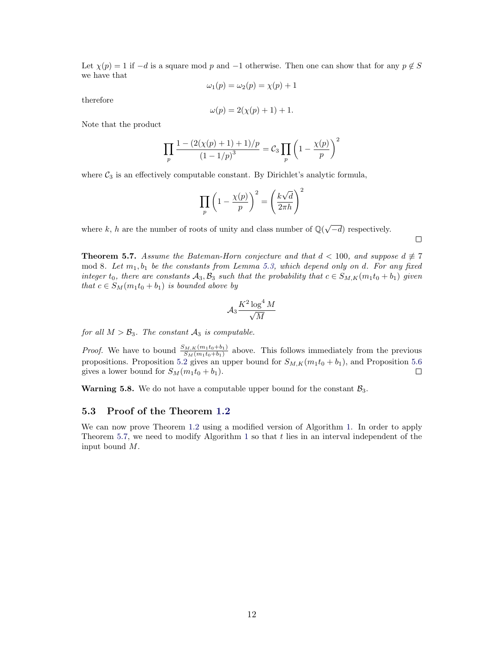Let  $\chi(p) = 1$  if  $-d$  is a square mod p and  $-1$  otherwise. Then one can show that for any  $p \notin S$ we have that

$$
\omega_1(p) = \omega_2(p) = \chi(p) + 1
$$

therefore

$$
\omega(p) = 2(\chi(p) + 1) + 1.
$$

Note that the product

$$
\prod_{p} \frac{1 - (2(\chi(p) + 1) + 1)/p}{(1 - 1/p)^3} = C_3 \prod_{p} \left(1 - \frac{\chi(p)}{p}\right)^2
$$

where  $C_3$  is an effectively computable constant. By Dirichlet's analytic formula,

$$
\prod_p \left(1-\frac{\chi(p)}{p}\right)^2 = \left(\frac{k\sqrt{d}}{2\pi h}\right)^2
$$

where k, h are the number of roots of unity and class number of  $\mathbb{Q}(\sqrt{\mathbb{Q}})$  $-d$ ) respectively.

 $\Box$ 

<span id="page-11-0"></span>**Theorem 5.7.** Assume the Bateman-Horn conjecture and that  $d < 100$ , and suppose  $d \neq 7$ mod 8. Let  $m_1, b_1$  be the constants from Lemma [5.3,](#page-7-0) which depend only on d. For any fixed integer  $t_0$ , there are constants  $\mathcal{A}_3, \mathcal{B}_3$  such that the probability that  $c \in S_{M,K}(m_1t_0 + b_1)$  given that  $c \in S_M(m_1t_0 + b_1)$  is bounded above by

$$
\mathcal{A}_3 \frac{K^2 \log^4 M}{\sqrt{M}}
$$

for all  $M > B_3$ . The constant  $A_3$  is computable.

*Proof.* We have to bound  $\frac{S_{M,K}(m_1t_0+b_1)}{S_M(m_1t_0+b_1)}$  above. This follows immediately from the previous propositions. Proposition [5.2](#page-7-1) gives an upper bound for  $S_{M,K}(m_1t_0 + b_1)$ , and Proposition [5.6](#page-8-2) gives a lower bound for  $S_M(m_1t_0 + b_1)$ .  $\Box$ 

**Warning 5.8.** We do not have a computable upper bound for the constant  $\mathcal{B}_3$ .

#### 5.3 Proof of the Theorem [1.2](#page-1-0)

We can now prove Theorem [1.2](#page-1-0) using a modified version of Algorithm [1.](#page-5-2) In order to apply Theorem [5.7,](#page-11-0) we need to modify Algorithm [1](#page-5-2) so that  $t$  lies in an interval independent of the input bound M.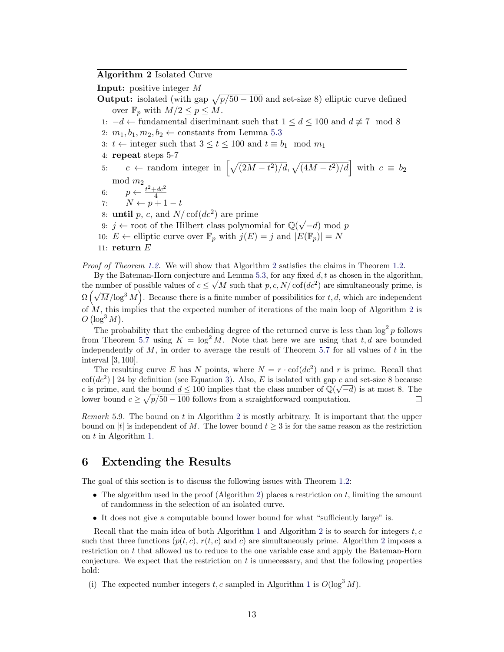### <span id="page-12-1"></span>Algorithm 2 Isolated Curve

Input: positive integer M

- **Output:** isolated (with gap  $\sqrt{p/50 100}$  and set-size 8) elliptic curve defined over  $\mathbb{F}_p$  with  $M/2 \leq p \leq M$ .
- 1:  $-d \leftarrow$  fundamental discriminant such that  $1 \le d \le 100$  and  $d \not\equiv 7 \mod 8$
- 2:  $m_1, b_1, m_2, b_2 \leftarrow$  constants from Lemma [5.3](#page-7-0)
- 3:  $t \leftarrow$  integer such that  $3 \le t \le 100$  and  $t \equiv b_1 \mod m_1$
- 4: repeat steps 5-7
- 5:  $c \leftarrow \text{random integer in } \left[ \sqrt{\frac{(2M t^2)}{d}}, \sqrt{\frac{(4M t^2)}{d}} \right] \text{ with } c \equiv b_2$  $\mod m_2$ 6:  $p \leftarrow \frac{t^2 + dc^2}{4}$ 4 7:  $N \leftarrow p + 1 - t$ 8: **until** p, c, and  $N/\text{cof}(dc^2)$  are prime 8: **until** p, c, and *I*V/cot(*ac*<sup>-</sup>) are prime<br>9: *j* ← root of the Hilbert class polynomial for  $\mathbb{Q}(\sqrt{\ }$  $(-d) \mod p$ 10:  $E \leftarrow$  elliptic curve over  $\mathbb{F}_p$  with  $j(E) = j$  and  $|E(\mathbb{F}_p)| = N$ 11: return  $E$

Proof of Theorem [1.2.](#page-1-0) We will show that Algorithm [2](#page-12-1) satisfies the claims in Theorem 1.2.

By the Bateman-Horn conjecture and Lemma [5.3,](#page-7-0) for any fixed  $d, t$  as chosen in the algorithm, the number of possible values of  $c \leq \sqrt{M}$  such that  $p, c, N/\text{cof}(dc^2)$  are simultaneously prime, is  $\Omega(\sqrt{M}/\log^3 M)$ . Because there is a finite number of possibilities for t, d, which are independent of  $M$ , this implies that the expected number of iterations of the main loop of Algorithm [2](#page-12-1) is  $O(\log^3 M).$ 

The probability that the embedding degree of the returned curve is less than  $\log^2 p$  follows from Theorem [5.7](#page-11-0) using  $K = \log^2 M$ . Note that here we are using that t, d are bounded independently of  $M$ , in order to average the result of Theorem [5.7](#page-11-0) for all values of  $t$  in the interval [3, 100].

The resulting curve E has N points, where  $N = r \cdot \text{cof}(dc^2)$  and r is prime. Recall that  $\cot(dc^2)$  | 24 by definition (see Equation [3\)](#page-5-4). Also, E is isolated with gap c and set-size 8 because c is prime, and the bound  $d \leq 100$  implies that the class number of  $\mathbb{Q}(\sqrt{-d})$  is at most 8. The lower bound  $c \geq \sqrt{p/50 - 100}$  follows from a straightforward computation.  $\Box$ 

Remark 5.9. The bound on t in Algorithm [2](#page-12-1) is mostly arbitrary. It is important that the upper bound on |t| is independent of M. The lower bound  $t \geq 3$  is for the same reason as the restriction on t in Algorithm [1.](#page-5-2)

# <span id="page-12-0"></span>6 Extending the Results

The goal of this section is to discuss the following issues with Theorem [1.2:](#page-1-0)

- The algorithm used in the proof (Algorithm [2\)](#page-12-1) places a restriction on  $t$ , limiting the amount of randomness in the selection of an isolated curve.
- It does not give a computable bound lower bound for what "sufficiently large" is.

Recall that the main idea of both Algorithm [1](#page-5-2) and Algorithm [2](#page-12-1) is to search for integers  $t, c$ such that three functions  $(p(t, c), r(t, c))$  and c) are simultaneously prime. Algorithm [2](#page-12-1) imposes a restriction on t that allowed us to reduce to the one variable case and apply the Bateman-Horn conjecture. We expect that the restriction on  $t$  is unnecessary, and that the following properties hold:

(i) The expected number integers t, c sampled in Algorithm [1](#page-5-2) is  $O(\log^3 M)$ .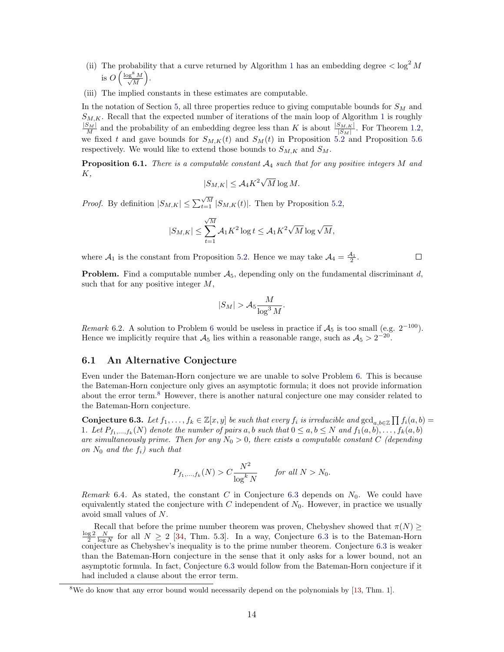- (ii) The probability that a curve returned by Algorithm [1](#page-5-2) has an embedding degree  $\langle \log^2 M$ is  $O\left(\frac{\log^8 M}{\sqrt{M}}\right)$  $\frac{8 M}{M}$ .
- (iii) The implied constants in these estimates are computable.

In the notation of Section [5,](#page-6-0) all three properties reduce to giving computable bounds for  $S_M$  and  $S_{M,K}$ . Recall that the expected number of iterations of the main loop of Algorithm [1](#page-5-2) is roughly  $\frac{|S_M|}{M}$  and the probability of an embedding degree less than K is about  $\frac{|S_{M,K}|}{|S_M|}$ . For Theorem [1.2,](#page-1-0) we fixed t and gave bounds for  $S_{M,K}(t)$  and  $S_M(t)$  in Proposition [5.2](#page-7-1) and Proposition [5.6](#page-8-2) respectively. We would like to extend those bounds to  $S_{M,K}$  and  $S_M$ .

<span id="page-13-0"></span>**Proposition 6.1.** There is a computable constant  $A_4$  such that for any positive integers M and K, √

$$
|S_{M,K}| \leq A_4 K^2 \sqrt{M} \log M.
$$

*Proof.* By definition  $|S_{M,K}| \leq \sum_{t=1}^{\sqrt{M}} |S_{M,K}(t)|$ . Then by Proposition [5.2,](#page-7-1)

$$
|S_{M,K}| \leq \sum_{t=1}^{\sqrt{M}} \mathcal{A}_1 K^2 \log t \leq \mathcal{A}_1 K^2 \sqrt{M} \log \sqrt{M},
$$

where  $A_1$  is the constant from Proposition [5.2.](#page-7-1) Hence we may take  $A_4 = \frac{A_1}{2}$ .

 $\Box$ 

**Problem.** Find a computable number  $A_5$ , depending only on the fundamental discriminant d, such that for any positive integer  $M$ ,

$$
|S_M| > \mathcal{A}_5 \frac{M}{\log^3 M}.
$$

Remark [6](#page-13-0).2. A solution to Problem 6 would be useless in practice if  $A_5$  is too small (e.g.  $2^{-100}$ ). Hence we implicitly require that  $A_5$  lies within a reasonable range, such as  $A_5 > 2^{-20}$ .

#### 6.1 An Alternative Conjecture

Even under the Bateman-Horn conjecture we are unable to solve Problem [6.](#page-13-0) This is because the Bateman-Horn conjecture only gives an asymptotic formula; it does not provide information about the error term.[8](#page-13-1) However, there is another natural conjecture one may consider related to the Bateman-Horn conjecture.

<span id="page-13-2"></span>**Conjecture 6.3.** Let  $f_1, \ldots, f_k \in \mathbb{Z}[x, y]$  be such that every  $f_i$  is irreducible and  $\gcd_{a, b \in \mathbb{Z}} \prod f_i(a, b) =$ 1. Let  $P_{f_1,...,f_k}(N)$  denote the number of pairs a, b such that  $0 \le a, b \le N$  and  $f_1(a,b),...,f_k(a,b)$ are simultaneously prime. Then for any  $N_0 > 0$ , there exists a computable constant C (depending on  $N_0$  and the  $f_i$ ) such that

$$
P_{f_1,\dots,f_k}(N) > C \frac{N^2}{\log^k N} \qquad \text{for all } N > N_0.
$$

Remark 6.4. As stated, the constant C in Conjecture [6.3](#page-13-2) depends on  $N_0$ . We could have equivalently stated the conjecture with  $C$  independent of  $N_0$ . However, in practice we usually avoid small values of N.

Recall that before the prime number theorem was proven, Chebyshev showed that  $\pi(N) \geq$  $\frac{\log 2}{2} \frac{N}{\log N}$  for all  $N \geq 2$  [\[34,](#page-17-9) Thm. 5.3]. In a way, Conjecture [6.3](#page-13-2) is to the Bateman-Horn conjecture as Chebyshev's inequality is to the prime number theorem. Conjecture [6.3](#page-13-2) is weaker than the Bateman-Horn conjecture in the sense that it only asks for a lower bound, not an asymptotic formula. In fact, Conjecture [6.3](#page-13-2) would follow from the Bateman-Horn conjecture if it had included a clause about the error term.

<span id="page-13-1"></span><sup>8</sup>We do know that any error bound would necessarily depend on the polynomials by [\[13,](#page-16-10) Thm. 1].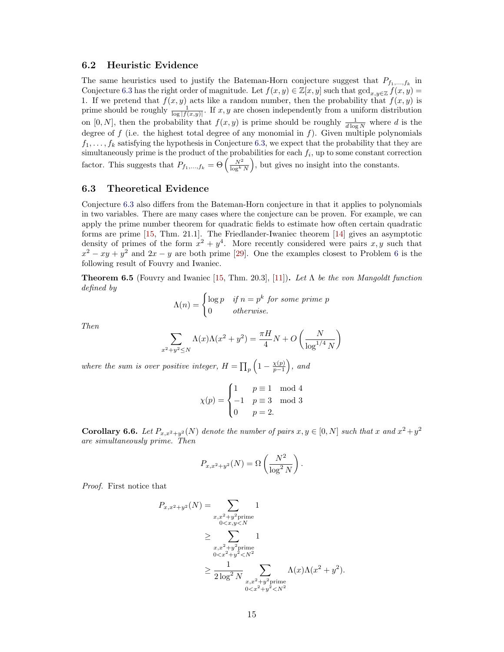### 6.2 Heuristic Evidence

The same heuristics used to justify the Bateman-Horn conjecture suggest that  $P_{f_1,...,f_k}$  in Conjecture [6.3](#page-13-2) has the right order of magnitude. Let  $f(x, y) \in \mathbb{Z}[x, y]$  such that  $\gcd_{x, y \in \mathbb{Z}} f(x, y) =$ 1. If we pretend that  $f(x, y)$  acts like a random number, then the probability that  $f(x, y)$  is prime should be roughly  $\frac{1}{\log |f(x,y)|}$ . If x, y are chosen independently from a uniform distribution on [0, N], then the probability that  $f(x, y)$  is prime should be roughly  $\frac{1}{d \log N}$  where d is the degree of  $f$  (i.e. the highest total degree of any monomial in  $f$ ). Given multiple polynomials  $f_1, \ldots, f_k$  satisfying the hypothesis in Conjecture [6.3,](#page-13-2) we expect that the probability that they are simultaneously prime is the product of the probabilities for each  $f_i$ , up to some constant correction factor. This suggests that  $P_{f_1,...,f_k} = \Theta\left(\frac{N^2}{\log^k N}\right)$ , but gives no insight into the constants.

### 6.3 Theoretical Evidence

Conjecture [6.3](#page-13-2) also differs from the Bateman-Horn conjecture in that it applies to polynomials in two variables. There are many cases where the conjecture can be proven. For example, we can apply the prime number theorem for quadratic fields to estimate how often certain quadratic forms are prime [\[15,](#page-17-19) Thm. 21.1]. The Friedlander-Iwaniec theorem [\[14\]](#page-17-20) gives an asymptotic density of primes of the form  $x^2 + y^4$ . More recently considered were pairs x, y such that  $x^2 - xy + y^2$  and  $2x - y$  are both prime [\[29\]](#page-17-21). One the examples closest to Problem [6](#page-13-0) is the following result of Fouvry and Iwaniec.

<span id="page-14-0"></span>**Theorem 6.5** (Fouvry and Iwaniec [\[15,](#page-17-19) Thm. 20.3], [\[11\]](#page-16-11)). Let  $\Lambda$  be the von Mangoldt function defined by

$$
\Lambda(n) = \begin{cases} \log p & \text{if } n = p^k \text{ for some prime } p \\ 0 & \text{otherwise.} \end{cases}
$$

Then

$$
\sum_{x^2 + y^2 \le N} \Lambda(x)\Lambda(x^2 + y^2) = \frac{\pi H}{4}N + O\left(\frac{N}{\log^{1/4} N}\right)
$$

where the sum is over positive integer,  $H = \prod_p \left(1 - \frac{\chi(p)}{p-1}\right)$  $\frac{\chi(p)}{p-1}$ , and

$$
\chi(p) = \begin{cases} 1 & p \equiv 1 \mod 4 \\ -1 & p \equiv 3 \mod 3 \\ 0 & p = 2. \end{cases}
$$

**Corollary 6.6.** Let  $P_{x,x^2+y^2}(N)$  denote the number of pairs  $x, y \in [0, N]$  such that x and  $x^2+y^2$ are simultaneously prime. Then

$$
P_{x,x^2+y^2}(N) = \Omega\left(\frac{N^2}{\log^2 N}\right).
$$

Proof. First notice that

$$
P_{x,x^2+y^2}(N) = \sum_{\substack{x,x^2+y^2 \text{prime} \\ 0 < x,y < N}} 1
$$
  
\n
$$
\geq \sum_{\substack{x,x^2+y^2 \text{prime} \\ 0 < x^2+y^2 < N^2}} 1
$$
  
\n
$$
\geq \sum_{\substack{x,x^2+y^2 \text{prime} \\ 2 \log^2 N}} 1
$$
  
\n
$$
\geq \frac{1}{2 \log^2 N} \sum_{\substack{x,x^2+y^2 \text{prime} \\ 0 < x^2+y^2 < N^2}} \Lambda(x) \Lambda(x^2 + y^2).
$$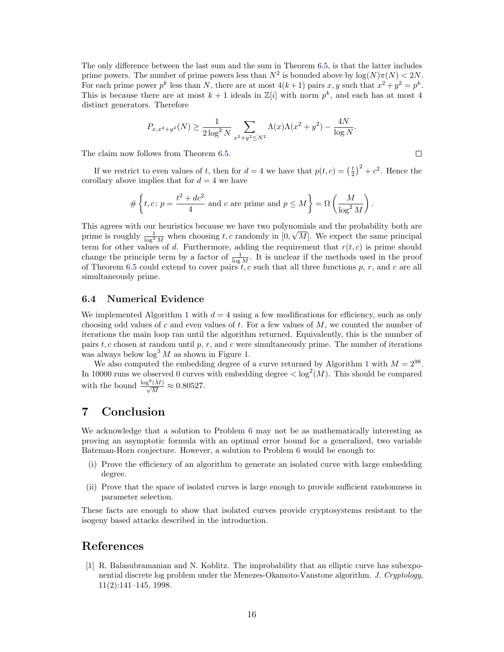The only difference between the last sum and the sum in Theorem [6.5,](#page-14-0) is that the latter includes prime powers. The number of prime powers less than  $N^2$  is bounded above by  $\log(N)\pi(N) < 2N$ . For each prime power  $p^k$  less than N, there are at most  $4(k+1)$  pairs x, y such that  $x^2 + y^2 = p^k$ . This is because there are at most  $k+1$  ideals in  $\mathbb{Z}[i]$  with norm  $p^k$ , and each has at most 4 distinct generators. Therefore

$$
P_{x,x^2+y^2}(N) \ge \frac{1}{2\log^2 N} \sum_{x^2+y^2 \le N^2} \Lambda(x)\Lambda(x^2+y^2) - \frac{4N}{\log N}.
$$

 $\Box$ 

The claim now follows from Theorem [6.5.](#page-14-0)

If we restrict to even values of t, then for  $d = 4$  we have that  $p(t, c) = \left(\frac{t}{2}\right)^2 + c^2$ . Hence the corollary above implies that for  $d = 4$  we have

$$
\# \left\{ t, c \colon p = \frac{t^2 + dc^2}{4} \text{ and } c \text{ are prime and } p \le M \right\} = \Omega \left( \frac{M}{\log^2 M} \right).
$$

This agrees with our heuristics because we have two polynomials and the probability both are prime is roughly  $\frac{1}{\log^2 M}$  when choosing t, c randomly in  $[0, \sqrt{M}]$ . We expect the same principal term for other values of d. Furthermore, adding the requirement that  $r(t, c)$  is prime should change the principle term by a factor of  $\frac{1}{\log M}$ . It is unclear if the methods used in the proof of Theorem [6.5](#page-14-0) could extend to cover pairs  $t, c$  such that all three functions p, r, and c are all simultaneously prime.

### <span id="page-15-0"></span>6.4 Numerical Evidence

We implemented Algorithm [1](#page-5-2) with  $d = 4$  using a few modifications for efficiency, such as only choosing odd values of c and even values of t. For a few values of  $M$ , we counted the number of iterations the main loop ran until the algorithm returned. Equivalently, this is the number of pairs  $t, c$  chosen at random until p, r, and c were simultaneously prime. The number of iterations was always below  $\log^3 M$  as shown in Figure [1.](#page-16-12)

We also computed the embedding degree of a curve returned by Algorithm [1](#page-5-2) with  $M = 2^{98}$ . In 10000 runs we observed 0 curves with embedding degree  $\langle \log^2(M) \rangle$ . This should be compared with the bound  $\frac{\log^8(M)}{\sqrt{M}} \approx 0.80527$ .

# 7 Conclusion

We acknowledge that a solution to Problem [6](#page-13-0) may not be as mathematically interesting as proving an asymptotic formula with an optimal error bound for a generalized, two variable Bateman-Horn conjecture. However, a solution to Problem [6](#page-13-0) would be enough to:

- (i) Prove the efficiency of an algorithm to generate an isolated curve with large embedding degree.
- (ii) Prove that the space of isolated curves is large enough to provide sufficient randomness in parameter selection.

These facts are enough to show that isolated curves provide cryptosystems resistant to the isogeny based attacks described in the introduction.

### <span id="page-15-1"></span>References

[1] R. Balasubramanian and N. Koblitz. The improbability that an elliptic curve has subexponential discrete log problem under the Menezes-Okamoto-Vanstone algorithm. J. Cryptology, 11(2):141–145, 1998.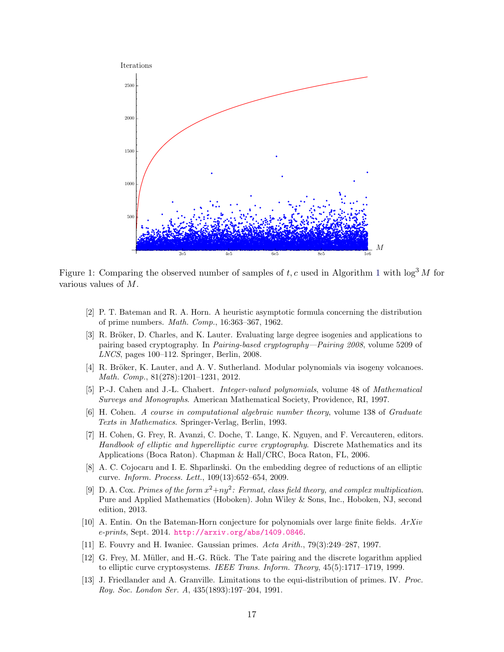<span id="page-16-12"></span>

Figure [1](#page-5-2): Comparing the observed number of samples of t, c used in Algorithm 1 with  $\log^3 M$  for various values of M.

- <span id="page-16-2"></span>[2] P. T. Bateman and R. A. Horn. A heuristic asymptotic formula concerning the distribution of prime numbers. Math. Comp., 16:363–367, 1962.
- <span id="page-16-6"></span>[3] R. Bröker, D. Charles, and K. Lauter. Evaluating large degree isogenies and applications to pairing based cryptography. In Pairing-based cryptography—Pairing 2008, volume 5209 of LNCS, pages 100–112. Springer, Berlin, 2008.
- <span id="page-16-5"></span>[4] R. Bröker, K. Lauter, and A. V. Sutherland. Modular polynomials via isogeny volcanoes. Math. Comp., 81(278):1201–1231, 2012.
- <span id="page-16-9"></span>[5] P.-J. Cahen and J.-L. Chabert. Integer-valued polynomials, volume 48 of Mathematical Surveys and Monographs. American Mathematical Society, Providence, RI, 1997.
- <span id="page-16-1"></span>[6] H. Cohen. A course in computational algebraic number theory, volume 138 of Graduate Texts in Mathematics. Springer-Verlag, Berlin, 1993.
- <span id="page-16-7"></span>[7] H. Cohen, G. Frey, R. Avanzi, C. Doche, T. Lange, K. Nguyen, and F. Vercauteren, editors. Handbook of elliptic and hyperelliptic curve cryptography. Discrete Mathematics and its Applications (Boca Raton). Chapman & Hall/CRC, Boca Raton, FL, 2006.
- <span id="page-16-8"></span>[8] A. C. Cojocaru and I. E. Shparlinski. On the embedding degree of reductions of an elliptic curve. Inform. Process. Lett., 109(13):652–654, 2009.
- <span id="page-16-0"></span>[9] D. A. Cox. Primes of the form  $x^2+ny^2$ : Fermat, class field theory, and complex multiplication. Pure and Applied Mathematics (Hoboken). John Wiley & Sons, Inc., Hoboken, NJ, second edition, 2013.
- <span id="page-16-3"></span>[10] A. Entin. On the Bateman-Horn conjecture for polynomials over large finite fields.  $ArXiv$ e-prints, Sept. 2014. <http://arxiv.org/abs/1409.0846>.
- <span id="page-16-11"></span>[11] E. Fouvry and H. Iwaniec. Gaussian primes. Acta Arith., 79(3):249–287, 1997.
- <span id="page-16-4"></span>[12] G. Frey, M. Müller, and H.-G. Rück. The Tate pairing and the discrete logarithm applied to elliptic curve cryptosystems. IEEE Trans. Inform. Theory, 45(5):1717-1719, 1999.
- <span id="page-16-10"></span>[13] J. Friedlander and A. Granville. Limitations to the equi-distribution of primes. IV. Proc. Roy. Soc. London Ser. A, 435(1893):197–204, 1991.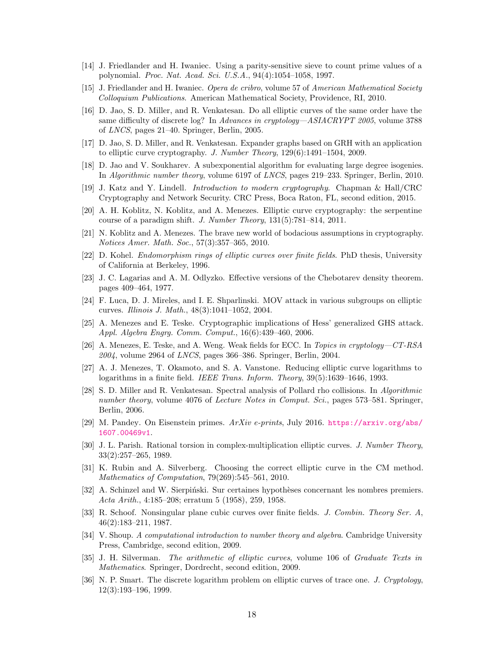- <span id="page-17-20"></span>[14] J. Friedlander and H. Iwaniec. Using a parity-sensitive sieve to count prime values of a polynomial. Proc. Nat. Acad. Sci. U.S.A., 94(4):1054–1058, 1997.
- <span id="page-17-19"></span>[15] J. Friedlander and H. Iwaniec. Opera de cribro, volume 57 of American Mathematical Society Colloquium Publications. American Mathematical Society, Providence, RI, 2010.
- <span id="page-17-8"></span>[16] D. Jao, S. D. Miller, and R. Venkatesan. Do all elliptic curves of the same order have the same difficulty of discrete log? In Advances in cryptology—ASIACRYPT 2005, volume 3788 of LNCS, pages 21–40. Springer, Berlin, 2005.
- <span id="page-17-13"></span>[17] D. Jao, S. D. Miller, and R. Venkatesan. Expander graphs based on GRH with an application to elliptic curve cryptography. J. Number Theory, 129(6):1491–1504, 2009.
- <span id="page-17-14"></span>[18] D. Jao and V. Soukharev. A subexponential algorithm for evaluating large degree isogenies. In Algorithmic number theory, volume 6197 of LNCS, pages 219–233. Springer, Berlin, 2010.
- <span id="page-17-4"></span>[19] J. Katz and Y. Lindell. Introduction to modern cryptography. Chapman & Hall/CRC Cryptography and Network Security. CRC Press, Boca Raton, FL, second edition, 2015.
- <span id="page-17-12"></span>[20] A. H. Koblitz, N. Koblitz, and A. Menezes. Elliptic curve cryptography: the serpentine course of a paradigm shift. J. Number Theory, 131(5):781–814, 2011.
- <span id="page-17-3"></span>[21] N. Koblitz and A. Menezes. The brave new world of bodacious assumptions in cryptography. Notices Amer. Math. Soc., 57(3):357–365, 2010.
- <span id="page-17-11"></span>[22] D. Kohel. Endomorphism rings of elliptic curves over finite fields. PhD thesis, University of California at Berkeley, 1996.
- <span id="page-17-18"></span>[23] J. C. Lagarias and A. M. Odlyzko. Effective versions of the Chebotarev density theorem. pages 409–464, 1977.
- <span id="page-17-17"></span>[24] F. Luca, D. J. Mireles, and I. E. Shparlinski. MOV attack in various subgroups on elliptic curves. Illinois J. Math., 48(3):1041–1052, 2004.
- <span id="page-17-0"></span>[25] A. Menezes and E. Teske. Cryptographic implications of Hess' generalized GHS attack. Appl. Algebra Engrg. Comm. Comput., 16(6):439–460, 2006.
- <span id="page-17-1"></span>[26] A. Menezes, E. Teske, and A. Weng. Weak fields for ECC. In Topics in cryptology—CT-RSA  $2004$ , volume 2964 of *LNCS*, pages 366–386. Springer, Berlin, 2004.
- <span id="page-17-2"></span>[27] A. J. Menezes, T. Okamoto, and S. A. Vanstone. Reducing elliptic curve logarithms to logarithms in a finite field. IEEE Trans. Inform. Theory, 39(5):1639–1646, 1993.
- <span id="page-17-15"></span>[28] S. D. Miller and R. Venkatesan. Spectral analysis of Pollard rho collisions. In Algorithmic number theory, volume 4076 of Lecture Notes in Comput. Sci., pages 573–581. Springer, Berlin, 2006.
- <span id="page-17-21"></span>[29] M. Pandey. On Eisenstein primes. ArXiv e-prints, July 2016. [https://arxiv.org/abs/](https://arxiv.org/abs/1607.00469v1) [1607.00469v1](https://arxiv.org/abs/1607.00469v1).
- [30] J. L. Parish. Rational torsion in complex-multiplication elliptic curves. J. Number Theory, 33(2):257–265, 1989.
- <span id="page-17-16"></span>[31] K. Rubin and A. Silverberg. Choosing the correct elliptic curve in the CM method. Mathematics of Computation, 79(269):545–561, 2010.
- <span id="page-17-5"></span>[32] A. Schinzel and W. Sierpiński. Sur certaines hypothèses concernant les nombres premiers. Acta Arith., 4:185–208; erratum 5 (1958), 259, 1958.
- <span id="page-17-7"></span>[33] R. Schoof. Nonsingular plane cubic curves over finite fields. J. Combin. Theory Ser. A, 46(2):183–211, 1987.
- <span id="page-17-9"></span>[34] V. Shoup. A computational introduction to number theory and algebra. Cambridge University Press, Cambridge, second edition, 2009.
- <span id="page-17-6"></span>[35] J. H. Silverman. The arithmetic of elliptic curves, volume 106 of Graduate Texts in Mathematics. Springer, Dordrecht, second edition, 2009.
- <span id="page-17-10"></span>[36] N. P. Smart. The discrete logarithm problem on elliptic curves of trace one. J. Cryptology, 12(3):193–196, 1999.